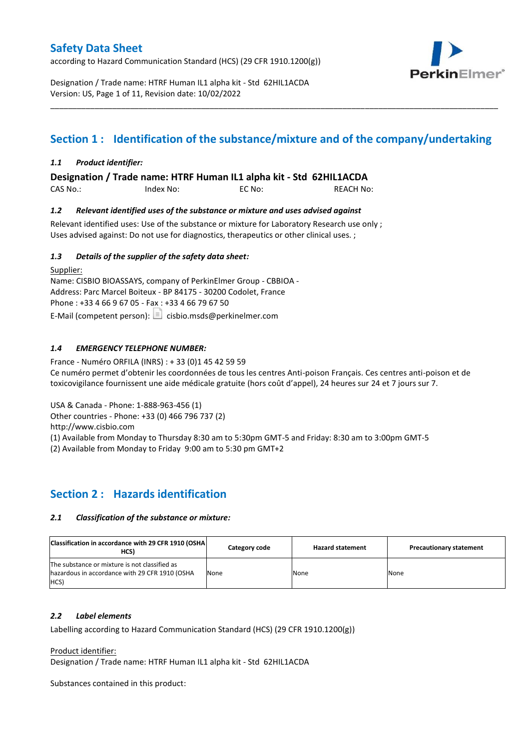according to Hazard Communication Standard (HCS) (29 CFR 1910.1200(g))



Designation / Trade name: HTRF Human IL1 alpha kit - Std 62HIL1ACDA Version: US, Page 1 of 11, Revision date: 10/02/2022

# **Section 1 : Identification of the substance/mixture and of the company/undertaking**

\_\_\_\_\_\_\_\_\_\_\_\_\_\_\_\_\_\_\_\_\_\_\_\_\_\_\_\_\_\_\_\_\_\_\_\_\_\_\_\_\_\_\_\_\_\_\_\_\_\_\_\_\_\_\_\_\_\_\_\_\_\_\_\_\_\_\_\_\_\_\_\_\_\_\_\_\_\_\_\_\_\_\_\_\_\_\_\_\_\_\_\_\_\_\_\_\_\_\_\_\_

### *1.1 Product identifier:*

**Designation / Trade name: HTRF Human IL1 alpha kit - Std 62HIL1ACDA** 

CAS No.: Index No: EC No: REACH No:

### *1.2 Relevant identified uses of the substance or mixture and uses advised against*

Relevant identified uses: Use of the substance or mixture for Laboratory Research use only ; Uses advised against: Do not use for diagnostics, therapeutics or other clinical uses. ;

### *1.3 Details of the supplier of the safety data sheet:*

Supplier: Name: CISBIO BIOASSAYS, company of PerkinElmer Group - CBBIOA - Address: Parc Marcel Boiteux - BP 84175 - 30200 Codolet, France Phone : +33 4 66 9 67 05 - Fax : +33 4 66 79 67 50 E-Mail (competent person):  $\boxed{\equiv}$  cisbio.msds@perkinelmer.com

### *1.4 EMERGENCY TELEPHONE NUMBER:*

France - Numéro ORFILA (INRS) : + 33 (0)1 45 42 59 59 Ce numéro permet d'obtenir les coordonnées de tous les centres Anti-poison Français. Ces centres anti-poison et de toxicovigilance fournissent une aide médicale gratuite (hors coût d'appel), 24 heures sur 24 et 7 jours sur 7.

USA & Canada - Phone: 1-888-963-456 (1)

Other countries - Phone: +33 (0) 466 796 737 (2)

http://www.cisbio.com

(1) Available from Monday to Thursday 8:30 am to 5:30pm GMT-5 and Friday: 8:30 am to 3:00pm GMT-5

(2) Available from Monday to Friday 9:00 am to 5:30 pm GMT+2

# **Section 2 : Hazards identification**

### *2.1 Classification of the substance or mixture:*

| Classification in accordance with 29 CFR 1910 (OSHA)<br>HCS)                                            | Category code | <b>Hazard statement</b> | <b>Precautionary statement</b> |
|---------------------------------------------------------------------------------------------------------|---------------|-------------------------|--------------------------------|
| The substance or mixture is not classified as<br>hazardous in accordance with 29 CFR 1910 (OSHA<br>HCS) | None          | None                    | None                           |

#### *2.2 Label elements*

Labelling according to Hazard Communication Standard (HCS) (29 CFR 1910.1200(g))

Product identifier:

Designation / Trade name: HTRF Human IL1 alpha kit - Std 62HIL1ACDA

Substances contained in this product: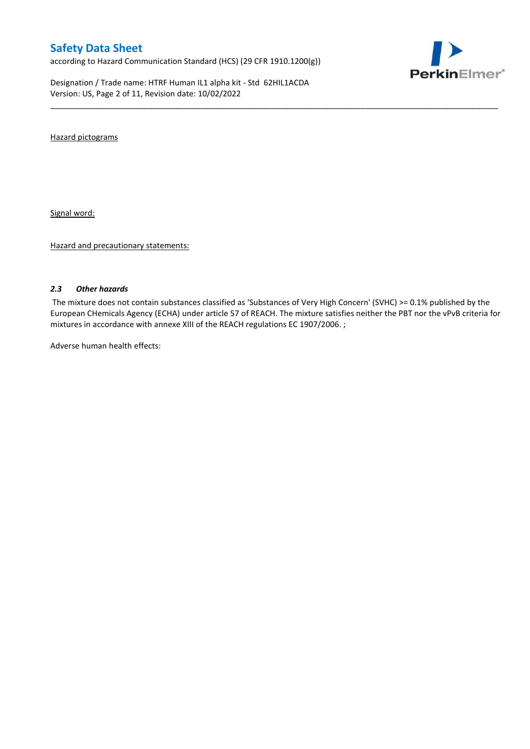according to Hazard Communication Standard (HCS) (29 CFR 1910.1200(g))

Designation / Trade name: HTRF Human IL1 alpha kit - Std 62HIL1ACDA Version: US, Page 2 of 11, Revision date: 10/02/2022



Hazard pictograms

Signal word:

Hazard and precautionary statements:

#### *2.3 Other hazards*

The mixture does not contain substances classified as 'Substances of Very High Concern' (SVHC) >= 0.1% published by the European CHemicals Agency (ECHA) under article 57 of REACH. The mixture satisfies neither the PBT nor the vPvB criteria for mixtures in accordance with annexe XIII of the REACH regulations EC 1907/2006. ;

\_\_\_\_\_\_\_\_\_\_\_\_\_\_\_\_\_\_\_\_\_\_\_\_\_\_\_\_\_\_\_\_\_\_\_\_\_\_\_\_\_\_\_\_\_\_\_\_\_\_\_\_\_\_\_\_\_\_\_\_\_\_\_\_\_\_\_\_\_\_\_\_\_\_\_\_\_\_\_\_\_\_\_\_\_\_\_\_\_\_\_\_\_\_\_\_\_\_\_\_\_

Adverse human health effects: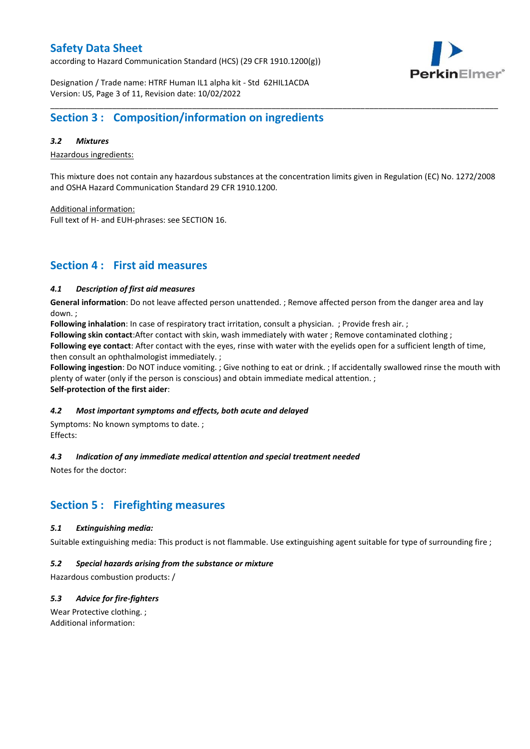according to Hazard Communication Standard (HCS) (29 CFR 1910.1200(g))



Designation / Trade name: HTRF Human IL1 alpha kit - Std 62HIL1ACDA Version: US, Page 3 of 11, Revision date: 10/02/2022

### **Section 3 : Composition/information on ingredients**

#### *3.2 Mixtures*

Hazardous ingredients:

This mixture does not contain any hazardous substances at the concentration limits given in Regulation (EC) No. 1272/2008 and OSHA Hazard Communication Standard 29 CFR 1910.1200.

\_\_\_\_\_\_\_\_\_\_\_\_\_\_\_\_\_\_\_\_\_\_\_\_\_\_\_\_\_\_\_\_\_\_\_\_\_\_\_\_\_\_\_\_\_\_\_\_\_\_\_\_\_\_\_\_\_\_\_\_\_\_\_\_\_\_\_\_\_\_\_\_\_\_\_\_\_\_\_\_\_\_\_\_\_\_\_\_\_\_\_\_\_\_\_\_\_\_\_\_\_

Additional information:

Full text of H- and EUH-phrases: see SECTION 16.

### **Section 4 : First aid measures**

#### *4.1 Description of first aid measures*

**General information**: Do not leave affected person unattended. ; Remove affected person from the danger area and lay down. ;

**Following inhalation**: In case of respiratory tract irritation, consult a physician. ; Provide fresh air. ;

**Following skin contact**:After contact with skin, wash immediately with water ; Remove contaminated clothing ;

**Following eye contact**: After contact with the eyes, rinse with water with the eyelids open for a sufficient length of time, then consult an ophthalmologist immediately. ;

**Following ingestion**: Do NOT induce vomiting. ; Give nothing to eat or drink. ; If accidentally swallowed rinse the mouth with plenty of water (only if the person is conscious) and obtain immediate medical attention. ; **Self-protection of the first aider**:

#### *4.2 Most important symptoms and effects, both acute and delayed*

Symptoms: No known symptoms to date. ; Effects:

### *4.3 Indication of any immediate medical attention and special treatment needed*

Notes for the doctor:

# **Section 5 : Firefighting measures**

#### *5.1 Extinguishing media:*

Suitable extinguishing media: This product is not flammable. Use extinguishing agent suitable for type of surrounding fire ;

#### *5.2 Special hazards arising from the substance or mixture*

Hazardous combustion products: /

### *5.3 Advice for fire-fighters*

Wear Protective clothing. ; Additional information: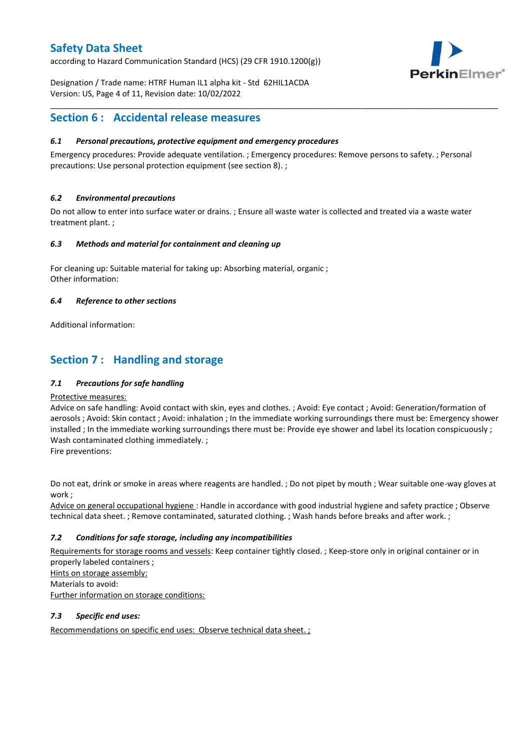according to Hazard Communication Standard (HCS) (29 CFR 1910.1200(g))



Designation / Trade name: HTRF Human IL1 alpha kit - Std 62HIL1ACDA Version: US, Page 4 of 11, Revision date: 10/02/2022

### **Section 6 : Accidental release measures**

### *6.1 Personal precautions, protective equipment and emergency procedures*

Emergency procedures: Provide adequate ventilation. ; Emergency procedures: Remove persons to safety. ; Personal precautions: Use personal protection equipment (see section 8). ;

\_\_\_\_\_\_\_\_\_\_\_\_\_\_\_\_\_\_\_\_\_\_\_\_\_\_\_\_\_\_\_\_\_\_\_\_\_\_\_\_\_\_\_\_\_\_\_\_\_\_\_\_\_\_\_\_\_\_\_\_\_\_\_\_\_\_\_\_\_\_\_\_\_\_\_\_\_\_\_\_\_\_\_\_\_\_\_\_\_\_\_\_\_\_\_\_\_\_\_\_\_

#### *6.2 Environmental precautions*

Do not allow to enter into surface water or drains. ; Ensure all waste water is collected and treated via a waste water treatment plant. ;

#### *6.3 Methods and material for containment and cleaning up*

For cleaning up: Suitable material for taking up: Absorbing material, organic ; Other information:

#### *6.4 Reference to other sections*

Additional information:

# **Section 7 : Handling and storage**

### *7.1 Precautions for safe handling*

#### Protective measures:

Advice on safe handling: Avoid contact with skin, eyes and clothes. ; Avoid: Eye contact ; Avoid: Generation/formation of aerosols ; Avoid: Skin contact ; Avoid: inhalation ; In the immediate working surroundings there must be: Emergency shower installed ; In the immediate working surroundings there must be: Provide eye shower and label its location conspicuously; Wash contaminated clothing immediately. ;

Fire preventions:

Do not eat, drink or smoke in areas where reagents are handled. ; Do not pipet by mouth ; Wear suitable one-way gloves at work ;

Advice on general occupational hygiene : Handle in accordance with good industrial hygiene and safety practice ; Observe technical data sheet. ; Remove contaminated, saturated clothing. ; Wash hands before breaks and after work. ;

### *7.2 Conditions for safe storage, including any incompatibilities*

Requirements for storage rooms and vessels: Keep container tightly closed. ; Keep-store only in original container or in properly labeled containers ; Hints on storage assembly: Materials to avoid: Further information on storage conditions:

#### *7.3 Specific end uses:*

Recommendations on specific end uses: Observe technical data sheet. ;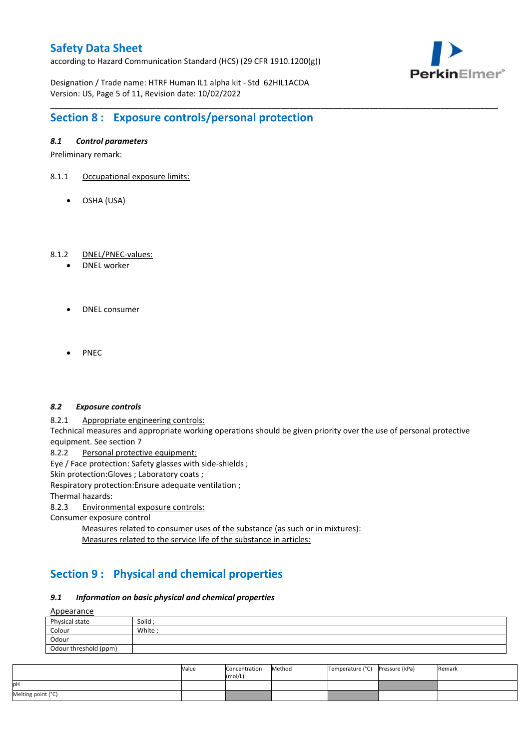according to Hazard Communication Standard (HCS) (29 CFR 1910.1200(g))



Designation / Trade name: HTRF Human IL1 alpha kit - Std 62HIL1ACDA Version: US, Page 5 of 11, Revision date: 10/02/2022

# **Section 8 : Exposure controls/personal protection**

### *8.1 Control parameters*

Preliminary remark:

- 8.1.1 Occupational exposure limits:
	- OSHA (USA)

#### 8.1.2 DNEL/PNEC-values:

- DNEL worker
- DNEL consumer
- PNEC

#### *8.2 Exposure controls*

8.2.1 Appropriate engineering controls:

Technical measures and appropriate working operations should be given priority over the use of personal protective equipment. See section 7

\_\_\_\_\_\_\_\_\_\_\_\_\_\_\_\_\_\_\_\_\_\_\_\_\_\_\_\_\_\_\_\_\_\_\_\_\_\_\_\_\_\_\_\_\_\_\_\_\_\_\_\_\_\_\_\_\_\_\_\_\_\_\_\_\_\_\_\_\_\_\_\_\_\_\_\_\_\_\_\_\_\_\_\_\_\_\_\_\_\_\_\_\_\_\_\_\_\_\_\_\_

8.2.2 Personal protective equipment:

Eye / Face protection: Safety glasses with side-shields ;

Skin protection: Gloves ; Laboratory coats ;

Respiratory protection:Ensure adequate ventilation ;

Thermal hazards:

8.2.3 Environmental exposure controls:

Consumer exposure control

Measures related to consumer uses of the substance (as such or in mixtures): Measures related to the service life of the substance in articles:

# **Section 9 : Physical and chemical properties**

#### *9.1 Information on basic physical and chemical properties*

**A**ppearance

| <u>rippediance</u>    |         |  |  |  |  |
|-----------------------|---------|--|--|--|--|
| Physical state        | Solid ; |  |  |  |  |
| Colour                | White;  |  |  |  |  |
| Odour                 |         |  |  |  |  |
| Odour threshold (ppm) |         |  |  |  |  |

|                    | Value | Concentration<br>(mol/L) | Method | Temperature (°C) Pressure (kPa) | Remark |
|--------------------|-------|--------------------------|--------|---------------------------------|--------|
| pН                 |       |                          |        |                                 |        |
| Melting point (°C) |       |                          |        |                                 |        |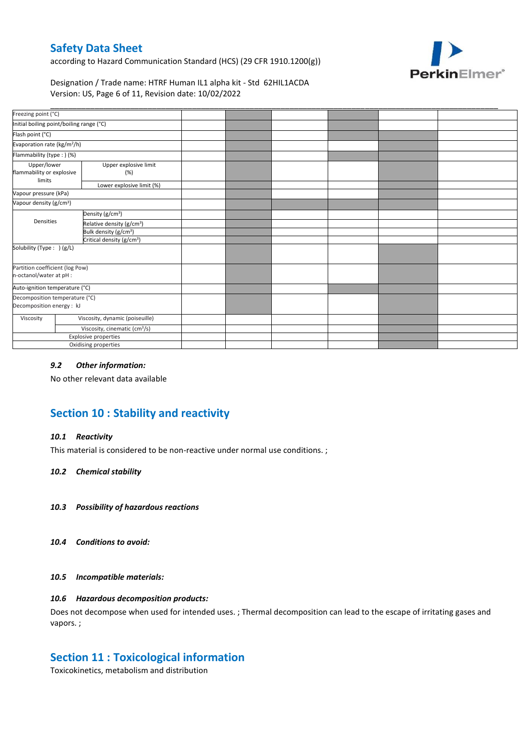according to Hazard Communication Standard (HCS) (29 CFR 1910.1200(g))



Designation / Trade name: HTRF Human IL1 alpha kit - Std 62HIL1ACDA Version: US, Page 6 of 11, Revision date: 10/02/2022

| Freezing point (°C)                                         |                              |                                           |  |  |  |
|-------------------------------------------------------------|------------------------------|-------------------------------------------|--|--|--|
| Initial boiling point/boiling range (°C)                    |                              |                                           |  |  |  |
| Flash point (°C)                                            |                              |                                           |  |  |  |
| Evaporation rate (kg/m <sup>2</sup> /h)                     |                              |                                           |  |  |  |
| Flammability (type:) (%)                                    |                              |                                           |  |  |  |
| Upper/lower<br>flammability or explosive<br>limits          | Upper explosive limit<br>(%) |                                           |  |  |  |
|                                                             |                              | Lower explosive limit (%)                 |  |  |  |
| Vapour pressure (kPa)                                       |                              |                                           |  |  |  |
| Vapour density (g/cm <sup>3</sup> )                         |                              |                                           |  |  |  |
|                                                             |                              | Density (g/cm <sup>3</sup> )              |  |  |  |
| Densities                                                   |                              | Relative density (g/cm <sup>3</sup> )     |  |  |  |
|                                                             |                              | Bulk density (g/cm <sup>3</sup> )         |  |  |  |
|                                                             |                              | Critical density (g/cm <sup>3</sup> )     |  |  |  |
| Solubility (Type: ) (g/L)                                   |                              |                                           |  |  |  |
| Partition coefficient (log Pow)<br>n-octanol/water at pH :  |                              |                                           |  |  |  |
| Auto-ignition temperature (°C)                              |                              |                                           |  |  |  |
| Decomposition temperature (°C)<br>Decomposition energy : kJ |                              |                                           |  |  |  |
| Viscosity                                                   |                              | Viscosity, dynamic (poiseuille)           |  |  |  |
|                                                             |                              | Viscosity, cinematic (cm <sup>3</sup> /s) |  |  |  |
|                                                             |                              | Explosive properties                      |  |  |  |
|                                                             |                              | Oxidising properties                      |  |  |  |

### *9.2 Other information:*

No other relevant data available

# **Section 10 : Stability and reactivity**

#### *10.1 Reactivity*

This material is considered to be non-reactive under normal use conditions. ;

#### *10.2 Chemical stability*

- *10.3 Possibility of hazardous reactions*
- *10.4 Conditions to avoid:*

#### *10.5 Incompatible materials:*

#### *10.6 Hazardous decomposition products:*

Does not decompose when used for intended uses. ; Thermal decomposition can lead to the escape of irritating gases and vapors. ;

### **Section 11 : Toxicological information**

Toxicokinetics, metabolism and distribution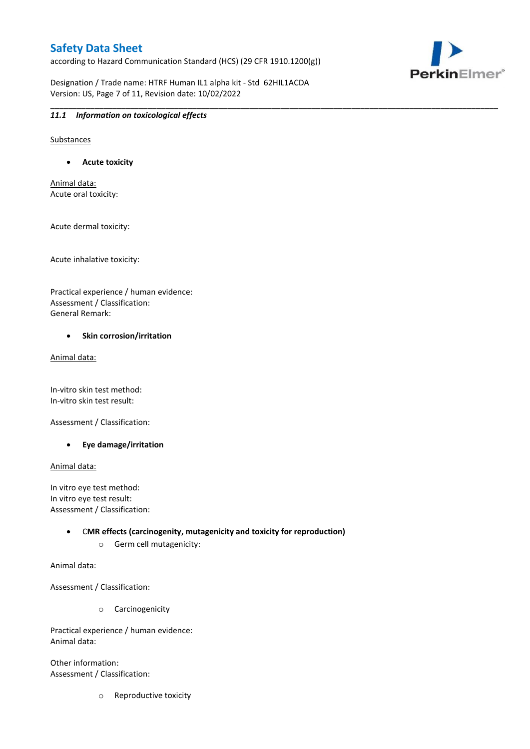according to Hazard Communication Standard (HCS) (29 CFR 1910.1200(g))



Designation / Trade name: HTRF Human IL1 alpha kit - Std 62HIL1ACDA Version: US, Page 7 of 11, Revision date: 10/02/2022

#### \_\_\_\_\_\_\_\_\_\_\_\_\_\_\_\_\_\_\_\_\_\_\_\_\_\_\_\_\_\_\_\_\_\_\_\_\_\_\_\_\_\_\_\_\_\_\_\_\_\_\_\_\_\_\_\_\_\_\_\_\_\_\_\_\_\_\_\_\_\_\_\_\_\_\_\_\_\_\_\_\_\_\_\_\_\_\_\_\_\_\_\_\_\_\_\_\_\_\_\_\_ *11.1 Information on toxicological effects*

Substances

**Acute toxicity**

Animal data: Acute oral toxicity:

Acute dermal toxicity:

Acute inhalative toxicity:

Practical experience / human evidence: Assessment / Classification: General Remark:

#### **•** Skin corrosion/irritation

Animal data:

In-vitro skin test method: In-vitro skin test result:

Assessment / Classification:

**Eye damage/irritation**

Animal data:

In vitro eye test method: In vitro eye test result: Assessment / Classification:

> C**MR effects (carcinogenity, mutagenicity and toxicity for reproduction)** o Germ cell mutagenicity:

Animal data:

Assessment / Classification:

o Carcinogenicity

Practical experience / human evidence: Animal data:

Other information: Assessment / Classification:

o Reproductive toxicity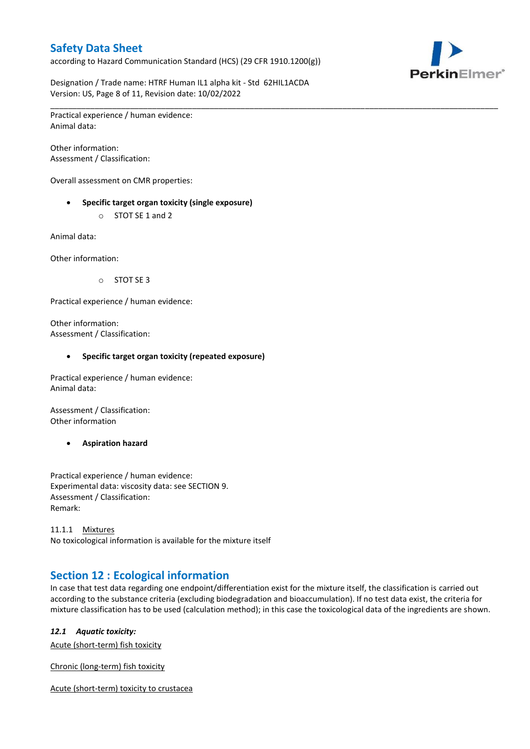according to Hazard Communication Standard (HCS) (29 CFR 1910.1200(g))



Designation / Trade name: HTRF Human IL1 alpha kit - Std 62HIL1ACDA Version: US, Page 8 of 11, Revision date: 10/02/2022

\_\_\_\_\_\_\_\_\_\_\_\_\_\_\_\_\_\_\_\_\_\_\_\_\_\_\_\_\_\_\_\_\_\_\_\_\_\_\_\_\_\_\_\_\_\_\_\_\_\_\_\_\_\_\_\_\_\_\_\_\_\_\_\_\_\_\_\_\_\_\_\_\_\_\_\_\_\_\_\_\_\_\_\_\_\_\_\_\_\_\_\_\_\_\_\_\_\_\_\_\_ Practical experience / human evidence: Animal data:

Other information: Assessment / Classification:

Overall assessment on CMR properties:

- **Specific target organ toxicity (single exposure)**
	- o STOT SE 1 and 2

Animal data:

Other information:

o STOT SE 3

Practical experience / human evidence:

Other information: Assessment / Classification:

#### **Specific target organ toxicity (repeated exposure)**

Practical experience / human evidence: Animal data:

Assessment / Classification: Other information

**Aspiration hazard**

Practical experience / human evidence: Experimental data: viscosity data: see SECTION 9. Assessment / Classification: Remark:

11.1.1 Mixtures No toxicological information is available for the mixture itself

# **Section 12 : Ecological information**

In case that test data regarding one endpoint/differentiation exist for the mixture itself, the classification is carried out according to the substance criteria (excluding biodegradation and bioaccumulation). If no test data exist, the criteria for mixture classification has to be used (calculation method); in this case the toxicological data of the ingredients are shown.

#### *12.1 Aquatic toxicity:*

Acute (short-term) fish toxicity

Chronic (long-term) fish toxicity

Acute (short-term) toxicity to crustacea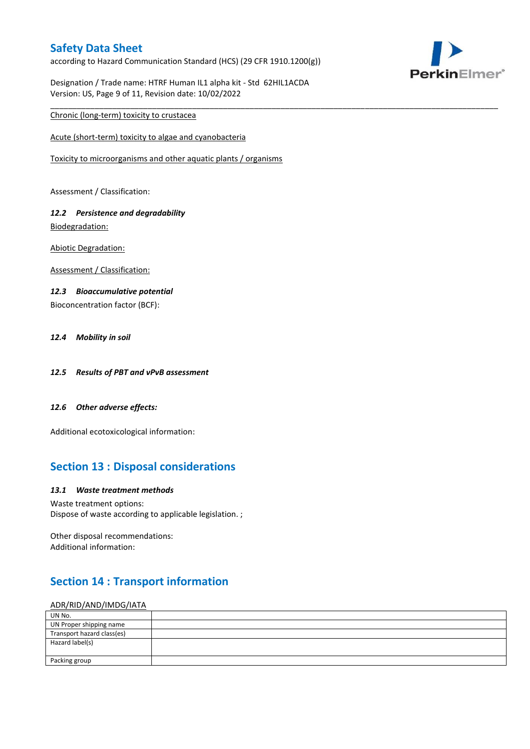according to Hazard Communication Standard (HCS) (29 CFR 1910.1200(g))



Designation / Trade name: HTRF Human IL1 alpha kit - Std 62HIL1ACDA Version: US, Page 9 of 11, Revision date: 10/02/2022

\_\_\_\_\_\_\_\_\_\_\_\_\_\_\_\_\_\_\_\_\_\_\_\_\_\_\_\_\_\_\_\_\_\_\_\_\_\_\_\_\_\_\_\_\_\_\_\_\_\_\_\_\_\_\_\_\_\_\_\_\_\_\_\_\_\_\_\_\_\_\_\_\_\_\_\_\_\_\_\_\_\_\_\_\_\_\_\_\_\_\_\_\_\_\_\_\_\_\_\_\_

### Chronic (long-term) toxicity to crustacea

Acute (short-term) toxicity to algae and cyanobacteria

Toxicity to microorganisms and other aquatic plants / organisms

Assessment / Classification:

### *12.2 Persistence and degradability* Biodegradation:

Abiotic Degradation:

Assessment / Classification:

#### *12.3 Bioaccumulative potential*

Bioconcentration factor (BCF):

#### *12.4 Mobility in soil*

- *12.5 Results of PBT and vPvB assessment*
- *12.6 Other adverse effects:*

Additional ecotoxicological information:

# **Section 13 : Disposal considerations**

#### *13.1 Waste treatment methods*

Waste treatment options: Dispose of waste according to applicable legislation. ;

Other disposal recommendations: Additional information:

# **Section 14 : Transport information**

#### ADR/RID/AND/IMDG/IATA

| UN No.                     |  |
|----------------------------|--|
| UN Proper shipping name    |  |
| Transport hazard class(es) |  |
| Hazard label(s)            |  |
|                            |  |
| Packing group              |  |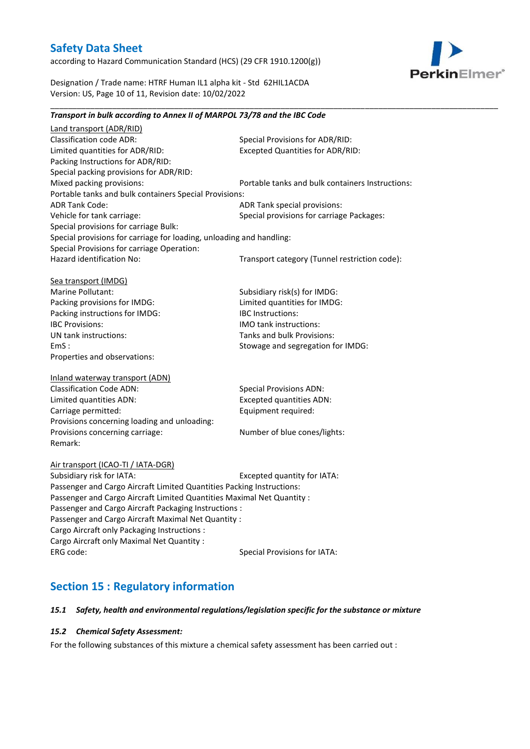according to Hazard Communication Standard (HCS) (29 CFR 1910.1200(g))



Designation / Trade name: HTRF Human IL1 alpha kit - Std 62HIL1ACDA Version: US, Page 10 of 11, Revision date: 10/02/2022

*Transport in bulk according to Annex II of MARPOL 73/78 and the IBC Code*

### Land transport (ADR/RID) Classification code ADR: Special Provisions for ADR/RID:<br>
Limited quantities for ADR/RID: Excepted Quantities for ADR/RI Excepted Quantities for ADR/RID: Packing Instructions for ADR/RID: Special packing provisions for ADR/RID: Mixed packing provisions: Portable tanks and bulk containers Instructions: Portable tanks and bulk containers Special Provisions: ADR Tank Code: ADR Tank special provisions: Vehicle for tank carriage:  $S$  Special provisions for carriage Packages: Special provisions for carriage Bulk: Special provisions for carriage for loading, unloading and handling: Special Provisions for carriage Operation: Hazard identification No: Transport category (Tunnel restriction code): Sea transport (IMDG) Marine Pollutant: Subsidiary risk(s) for IMDG: Packing provisions for IMDG: Limited quantities for IMDG: Packing instructions for IMDG: IBC Instructions: IBC Provisions: IMO tank instructions: UN tank instructions: Tanks and bulk Provisions: EmS : Stowage and segregation for IMDG: Properties and observations: Inland waterway transport (ADN) Classification Code ADN: Special Provisions ADN: Limited quantities ADN: Excepted quantities ADN: Carriage permitted: Carriage permitted: Provisions concerning loading and unloading: Provisions concerning carriage: Number of blue cones/lights: Remark: Air transport (ICAO-TI / IATA-DGR) Subsidiary risk for IATA: Excepted quantity for IATA: Passenger and Cargo Aircraft Limited Quantities Packing Instructions: Passenger and Cargo Aircraft Limited Quantities Maximal Net Quantity : Passenger and Cargo Aircraft Packaging Instructions : Passenger and Cargo Aircraft Maximal Net Quantity : Cargo Aircraft only Packaging Instructions : Cargo Aircraft only Maximal Net Quantity : ERG code: Special Provisions for IATA: **Section 15 : Regulatory information**

\_\_\_\_\_\_\_\_\_\_\_\_\_\_\_\_\_\_\_\_\_\_\_\_\_\_\_\_\_\_\_\_\_\_\_\_\_\_\_\_\_\_\_\_\_\_\_\_\_\_\_\_\_\_\_\_\_\_\_\_\_\_\_\_\_\_\_\_\_\_\_\_\_\_\_\_\_\_\_\_\_\_\_\_\_\_\_\_\_\_\_\_\_\_\_\_\_\_\_\_\_

### *15.1 Safety, health and environmental regulations/legislation specific for the substance or mixture*

### *15.2 Chemical Safety Assessment:*

For the following substances of this mixture a chemical safety assessment has been carried out :